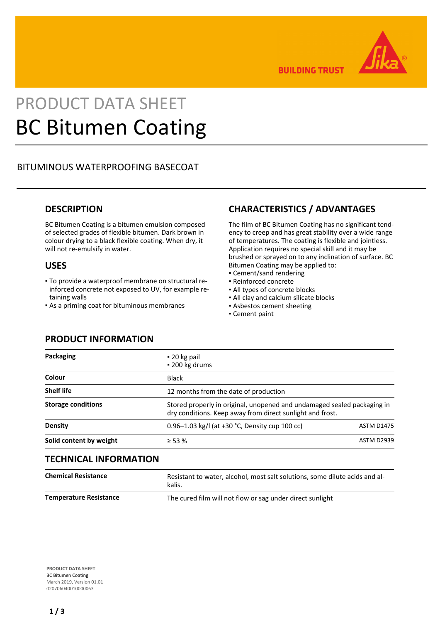

**BUILDING TRUST** 

# PRODUCT DATA SHEET BC Bitumen Coating

# BITUMINOUS WATERPROOFING BASECOAT

## **DESCRIPTION**

BC Bitumen Coating is a bitumen emulsion composed of selected grades of flexible bitumen. Dark brown in colour drying to a black flexible coating. When dry, it will not re-emulsify in water.

## **USES**

- To provide a waterproof membrane on structural re-▪ inforced concrete not exposed to UV, for example retaining walls
- **As a priming coat for bituminous membranes**

# **CHARACTERISTICS / ADVANTAGES**

The film of BC Bitumen Coating has no significant tendency to creep and has great stability over a wide range of temperatures. The coating is flexible and jointless. Application requires no special skill and it may be brushed or sprayed on to any inclination of surface. BC Bitumen Coating may be applied to:

- Cement/sand rendering
- Reinforced concrete
- All types of concrete blocks
- All clay and calcium silicate blocks
- **.** Asbestos cement sheeting
- Cement paint

## **PRODUCT INFORMATION**

| Packaging                 | $\blacksquare$ 20 kg pail<br>• 200 kg drums                                                                                          |
|---------------------------|--------------------------------------------------------------------------------------------------------------------------------------|
| Colour                    | <b>Black</b>                                                                                                                         |
| <b>Shelf life</b>         | 12 months from the date of production                                                                                                |
| <b>Storage conditions</b> | Stored properly in original, unopened and undamaged sealed packaging in<br>dry conditions. Keep away from direct sunlight and frost. |
| <b>Density</b>            | 0.96–1.03 kg/l (at +30 $°C$ , Density cup 100 cc)<br><b>ASTM D1475</b>                                                               |
| Solid content by weight   | $\geq$ 53 %<br><b>ASTM D2939</b>                                                                                                     |

## **TECHNICAL INFORMATION**

| <b>Chemical Resistance</b>    | Resistant to water, alcohol, most salt solutions, some dilute acids and al-<br>kalis. |
|-------------------------------|---------------------------------------------------------------------------------------|
| <b>Temperature Resistance</b> | The cured film will not flow or sag under direct sunlight                             |

**PRODUCT DATA SHEET** BC Bitumen Coating March 2019, Version 01.01 020706040010000063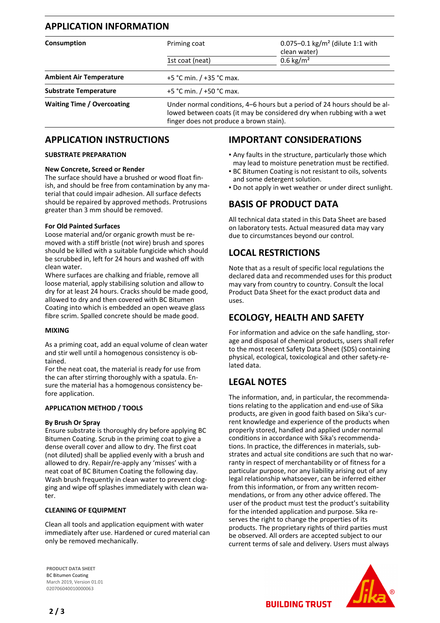# **APPLICATION INFORMATION Consumption Consumption Priming coat 1.1 with Consumption Priming coat 1.1 with** clean water) 1st coat (neat) 0.6 kg/m<sup>2</sup> **Ambient Air Temperature** +5 °C min. / +35 °C max. **Substrate Temperature**  $+5$  °C min. / +50 °C max. Waiting Time / Overcoating **Under normal conditions, 4–6 hours but a period of 24 hours should be al**lowed between coats (it may be considered dry when rubbing with a wet finger does not produce a brown stain).

## **APPLICATION INSTRUCTIONS**

#### **SUBSTRATE PREPARATION**

#### **New Concrete, Screed or Render**

The surface should have a brushed or wood float finish, and should be free from contamination by any material that could impair adhesion. All surface defects should be repaired by approved methods. Protrusions greater than 3 mm should be removed.

#### **For Old Painted Surfaces**

Loose material and/or organic growth must be removed with a stiff bristle (not wire) brush and spores should be killed with a suitable fungicide which should be scrubbed in, left for 24 hours and washed off with clean water.

Where surfaces are chalking and friable, remove all loose material, apply stabilising solution and allow to dry for at least 24 hours. Cracks should be made good, allowed to dry and then covered with BC Bitumen Coating into which is embedded an open weave glass fibre scrim. Spalled concrete should be made good.

#### **MIXING**

As a priming coat, add an equal volume of clean water and stir well until a homogenous consistency is obtained.

For the neat coat, the material is ready for use from the can after stirring thoroughly with a spatula. Ensure the material has a homogenous consistency before application.

#### **APPLICATION METHOD / TOOLS**

#### **By Brush Or Spray**

Ensure substrate is thoroughly dry before applying BC Bitumen Coating. Scrub in the priming coat to give a dense overall cover and allow to dry. The first coat (not diluted) shall be applied evenly with a brush and allowed to dry. Repair/re-apply any 'misses' with a neat coat of BC Bitumen Coating the following day. Wash brush frequently in clean water to prevent clogging and wipe off splashes immediately with clean water.

#### **CLEANING OF EQUIPMENT**

Clean all tools and application equipment with water immediately after use. Hardened or cured material can only be removed mechanically.

## **IMPORTANT CONSIDERATIONS**

- Any faults in the structure, particularly those which may lead to moisture penetration must be rectified.
- **BC Bitumen Coating is not resistant to oils, solvents** and some detergent solution.
- Do not apply in wet weather or under direct sunlight.

# **BASIS OF PRODUCT DATA**

All technical data stated in this Data Sheet are based on laboratory tests. Actual measured data may vary due to circumstances beyond our control.

## **LOCAL RESTRICTIONS**

Note that as a result of specific local regulations the declared data and recommended uses for this product may vary from country to country. Consult the local Product Data Sheet for the exact product data and uses.

## **ECOLOGY, HEALTH AND SAFETY**

For information and advice on the safe handling, storage and disposal of chemical products, users shall refer to the most recent Safety Data Sheet (SDS) containing physical, ecological, toxicological and other safety-related data.

# **LEGAL NOTES**

The information, and, in particular, the recommendations relating to the application and end-use of Sika products, are given in good faith based on Sika's current knowledge and experience of the products when properly stored, handled and applied under normal conditions in accordance with Sika's recommendations. In practice, the differences in materials, substrates and actual site conditions are such that no warranty in respect of merchantability or of fitness for a particular purpose, nor any liability arising out of any legal relationship whatsoever, can be inferred either from this information, or from any written recommendations, or from any other advice offered. The user of the product must test the product's suitability for the intended application and purpose. Sika reserves the right to change the properties of its products. The proprietary rights of third parties must be observed. All orders are accepted subject to our current terms of sale and delivery. Users must always

**PRODUCT DATA SHEET** BC Bitumen Coating March 2019, Version 01.01 020706040010000063

**BUILDING TRUST**